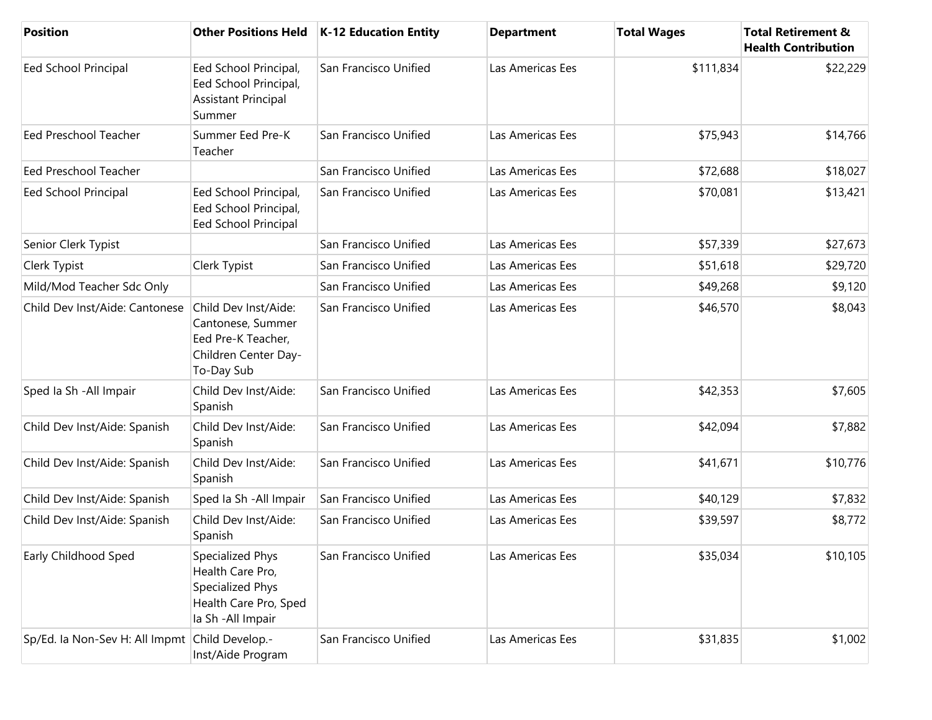| <b>Position</b>                                | <b>Other Positions Held</b>                                                                             | <b>K-12 Education Entity</b> | <b>Department</b> | <b>Total Wages</b> | <b>Total Retirement &amp;</b><br><b>Health Contribution</b> |
|------------------------------------------------|---------------------------------------------------------------------------------------------------------|------------------------------|-------------------|--------------------|-------------------------------------------------------------|
| Eed School Principal                           | Eed School Principal,<br>Eed School Principal,<br><b>Assistant Principal</b><br>Summer                  | San Francisco Unified        | Las Americas Ees  | \$111,834          | \$22,229                                                    |
| <b>Eed Preschool Teacher</b>                   | Summer Eed Pre-K<br>Teacher                                                                             | San Francisco Unified        | Las Americas Ees  | \$75,943           | \$14,766                                                    |
| Eed Preschool Teacher                          |                                                                                                         | San Francisco Unified        | Las Americas Ees  | \$72,688           | \$18,027                                                    |
| <b>Eed School Principal</b>                    | Eed School Principal,<br>Eed School Principal,<br>Eed School Principal                                  | San Francisco Unified        | Las Americas Ees  | \$70,081           | \$13,421                                                    |
| Senior Clerk Typist                            |                                                                                                         | San Francisco Unified        | Las Americas Ees  | \$57,339           | \$27,673                                                    |
| Clerk Typist                                   | Clerk Typist                                                                                            | San Francisco Unified        | Las Americas Ees  | \$51,618           | \$29,720                                                    |
| Mild/Mod Teacher Sdc Only                      |                                                                                                         | San Francisco Unified        | Las Americas Ees  | \$49,268           | \$9,120                                                     |
| Child Dev Inst/Aide: Cantonese                 | Child Dev Inst/Aide:<br>Cantonese, Summer<br>Eed Pre-K Teacher,<br>Children Center Day-<br>To-Day Sub   | San Francisco Unified        | Las Americas Ees  | \$46,570           | \$8,043                                                     |
| Sped Ia Sh - All Impair                        | Child Dev Inst/Aide:<br>Spanish                                                                         | San Francisco Unified        | Las Americas Ees  | \$42,353           | \$7,605                                                     |
| Child Dev Inst/Aide: Spanish                   | Child Dev Inst/Aide:<br>Spanish                                                                         | San Francisco Unified        | Las Americas Ees  | \$42,094           | \$7,882                                                     |
| Child Dev Inst/Aide: Spanish                   | Child Dev Inst/Aide:<br>Spanish                                                                         | San Francisco Unified        | Las Americas Ees  | \$41,671           | \$10,776                                                    |
| Child Dev Inst/Aide: Spanish                   | Sped Ia Sh - All Impair                                                                                 | San Francisco Unified        | Las Americas Ees  | \$40,129           | \$7,832                                                     |
| Child Dev Inst/Aide: Spanish                   | Child Dev Inst/Aide:<br>Spanish                                                                         | San Francisco Unified        | Las Americas Ees  | \$39,597           | \$8,772                                                     |
| Early Childhood Sped                           | Specialized Phys<br>Health Care Pro,<br>Specialized Phys<br>Health Care Pro, Sped<br>la Sh - All Impair | San Francisco Unified        | Las Americas Ees  | \$35,034           | \$10,105                                                    |
| Sp/Ed. la Non-Sev H: All Impmt Child Develop.- | Inst/Aide Program                                                                                       | San Francisco Unified        | Las Americas Ees  | \$31,835           | \$1,002                                                     |